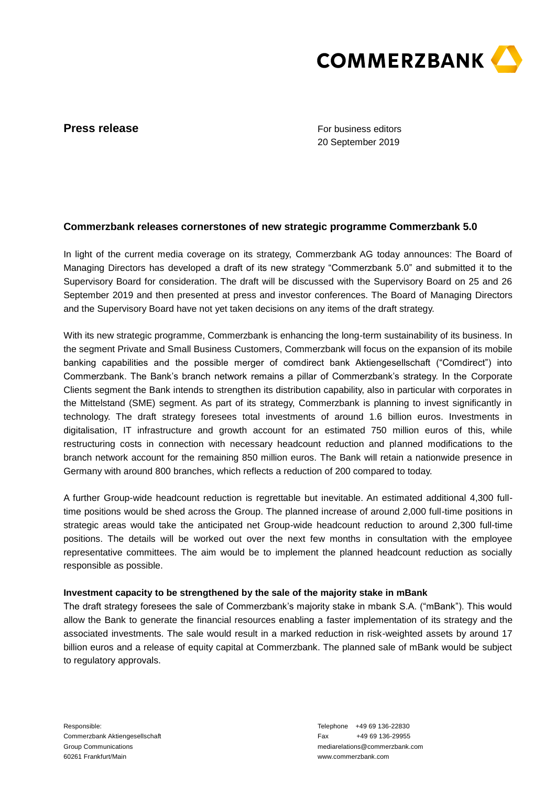

# **Press release**

For business editors 20 September 2019

## **Commerzbank releases cornerstones of new strategic programme Commerzbank 5.0**

In light of the current media coverage on its strategy, Commerzbank AG today announces: The Board of Managing Directors has developed a draft of its new strategy "Commerzbank 5.0" and submitted it to the Supervisory Board for consideration. The draft will be discussed with the Supervisory Board on 25 and 26 September 2019 and then presented at press and investor conferences. The Board of Managing Directors and the Supervisory Board have not yet taken decisions on any items of the draft strategy.

With its new strategic programme, Commerzbank is enhancing the long-term sustainability of its business. In the segment Private and Small Business Customers, Commerzbank will focus on the expansion of its mobile banking capabilities and the possible merger of comdirect bank Aktiengesellschaft ("Comdirect") into Commerzbank. The Bank's branch network remains a pillar of Commerzbank's strategy. In the Corporate Clients segment the Bank intends to strengthen its distribution capability, also in particular with corporates in the Mittelstand (SME) segment. As part of its strategy, Commerzbank is planning to invest significantly in technology. The draft strategy foresees total investments of around 1.6 billion euros. Investments in digitalisation, IT infrastructure and growth account for an estimated 750 million euros of this, while restructuring costs in connection with necessary headcount reduction and planned modifications to the branch network account for the remaining 850 million euros. The Bank will retain a nationwide presence in Germany with around 800 branches, which reflects a reduction of 200 compared to today.

A further Group-wide headcount reduction is regrettable but inevitable. An estimated additional 4,300 fulltime positions would be shed across the Group. The planned increase of around 2,000 full-time positions in strategic areas would take the anticipated net Group-wide headcount reduction to around 2,300 full-time positions. The details will be worked out over the next few months in consultation with the employee representative committees. The aim would be to implement the planned headcount reduction as socially responsible as possible.

### **Investment capacity to be strengthened by the sale of the majority stake in mBank**

The draft strategy foresees the sale of Commerzbank's majority stake in mbank S.A. ("mBank"). This would allow the Bank to generate the financial resources enabling a faster implementation of its strategy and the associated investments. The sale would result in a marked reduction in risk-weighted assets by around 17 billion euros and a release of equity capital at Commerzbank. The planned sale of mBank would be subject to regulatory approvals.

Responsible: Commerzbank Aktiengesellschaft Group Communications 60261 Frankfurt/Main

Telephone +49 69 136-22830 Fax +49 69 136-29955 mediarelations@commerzbank.com www.commerzbank.com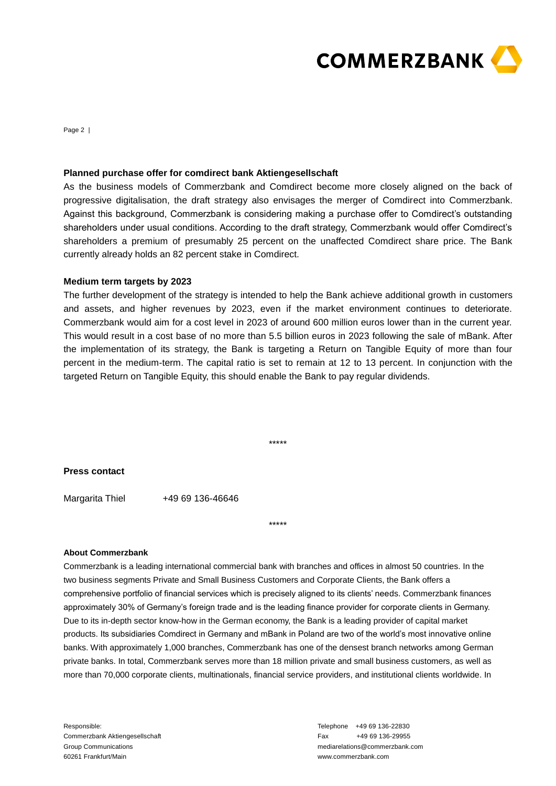

Page 2 |

#### **Planned purchase offer for comdirect bank Aktiengesellschaft**

As the business models of Commerzbank and Comdirect become more closely aligned on the back of progressive digitalisation, the draft strategy also envisages the merger of Comdirect into Commerzbank. Against this background, Commerzbank is considering making a purchase offer to Comdirect's outstanding shareholders under usual conditions. According to the draft strategy, Commerzbank would offer Comdirect's shareholders a premium of presumably 25 percent on the unaffected Comdirect share price. The Bank currently already holds an 82 percent stake in Comdirect.

### **Medium term targets by 2023**

The further development of the strategy is intended to help the Bank achieve additional growth in customers and assets, and higher revenues by 2023, even if the market environment continues to deteriorate. Commerzbank would aim for a cost level in 2023 of around 600 million euros lower than in the current year. This would result in a cost base of no more than 5.5 billion euros in 2023 following the sale of mBank. After the implementation of its strategy, the Bank is targeting a Return on Tangible Equity of more than four percent in the medium-term. The capital ratio is set to remain at 12 to 13 percent. In conjunction with the targeted Return on Tangible Equity, this should enable the Bank to pay regular dividends.

\*\*\*\*\*

\*\*\*\*\*

#### **Press contact**

Margarita Thiel +49 69 136-46646

#### **About Commerzbank**

Commerzbank is a leading international commercial bank with branches and offices in almost 50 countries. In the two business segments Private and Small Business Customers and Corporate Clients, the Bank offers a comprehensive portfolio of financial services which is precisely aligned to its clients' needs. Commerzbank finances approximately 30% of Germany's foreign trade and is the leading finance provider for corporate clients in Germany. Due to its in-depth sector know-how in the German economy, the Bank is a leading provider of capital market products. Its subsidiaries Comdirect in Germany and mBank in Poland are two of the world's most innovative online banks. With approximately 1,000 branches, Commerzbank has one of the densest branch networks among German private banks. In total, Commerzbank serves more than 18 million private and small business customers, as well as more than 70,000 corporate clients, multinationals, financial service providers, and institutional clients worldwide. In

Telephone +49 69 136-22830 Fax +49 69 136-29955 mediarelations@commerzbank.com www.commerzbank.com